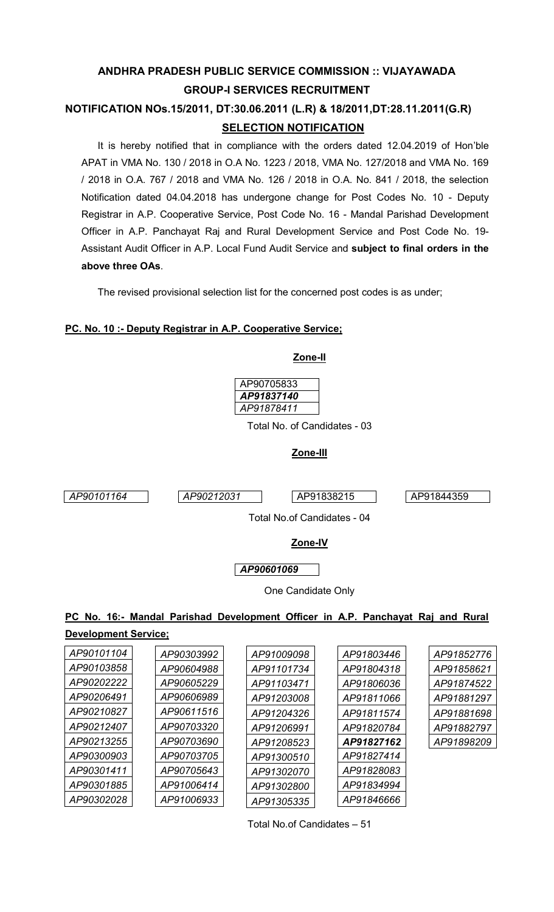## **ANDHRA PRADESH PUBLIC SERVICE COMMISSION :: VIJAYAWADA GROUP-I SERVICES RECRUITMENT**

## **NOTIFICATION NOs.15/2011, DT:30.06.2011 (L.R) & 18/2011,DT:28.11.2011(G.R) SELECTION NOTIFICATION**

It is hereby notified that in compliance with the orders dated 12.04.2019 of Hon'ble APAT in VMA No. 130 / 2018 in O.A No. 1223 / 2018, VMA No. 127/2018 and VMA No. 169 / 2018 in O.A. 767 / 2018 and VMA No. 126 / 2018 in O.A. No. 841 / 2018, the selection Notification dated 04.04.2018 has undergone change for Post Codes No. 10 - Deputy Registrar in A.P. Cooperative Service, Post Code No. 16 - Mandal Parishad Development Officer in A.P. Panchayat Raj and Rural Development Service and Post Code No. 19- Assistant Audit Officer in A.P. Local Fund Audit Service and **subject to final orders in the above three OAs**.

The revised provisional selection list for the concerned post codes is as under;

### **PC. No. 10 :- Deputy Registrar in A.P. Cooperative Service;**



### **PC No. 16:- Mandal Parishad Development Officer in A.P. Panchayat Raj and Rural**

# **Development Service;**

| AP90101104 | AP90303992 | AP91009098 | AP91803446 | AP91852776 |
|------------|------------|------------|------------|------------|
| AP90103858 | AP90604988 | AP91101734 | AP91804318 | AP91858621 |
| AP90202222 | AP90605229 | AP91103471 | AP91806036 | AP91874522 |
| AP90206491 | AP90606989 | AP91203008 | AP91811066 | AP91881297 |
| AP90210827 | AP90611516 | AP91204326 | AP91811574 | AP91881698 |
| AP90212407 | AP90703320 | AP91206991 | AP91820784 | AP91882797 |
| AP90213255 | AP90703690 | AP91208523 | AP91827162 | AP91898209 |
| AP90300903 | AP90703705 | AP91300510 | AP91827414 |            |
| AP90301411 | AP90705643 | AP91302070 | AP91828083 |            |
| AP90301885 | AP91006414 | AP91302800 | AP91834994 |            |
| AP90302028 | AP91006933 | AP91305335 | AP91846666 |            |

Total No.of Candidates – 51